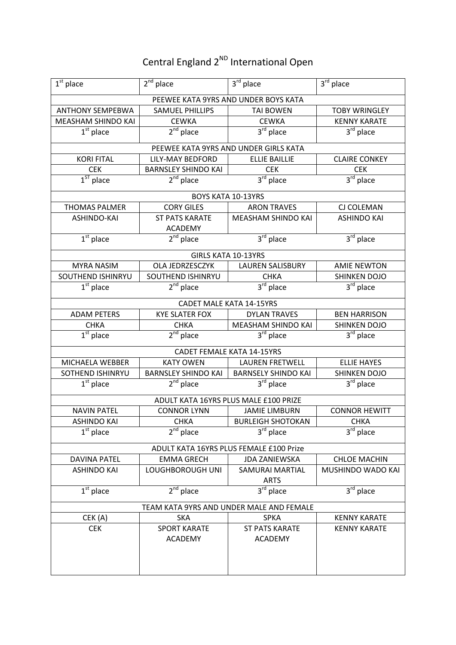## Central England 2<sup>ND</sup> International Open

| $1st$ place                              | $2nd$ place                | $3rd$ place                              | 3rd place                        |  |
|------------------------------------------|----------------------------|------------------------------------------|----------------------------------|--|
|                                          |                            | PEEWEE KATA 9YRS AND UNDER BOYS KATA     |                                  |  |
| <b>ANTHONY SEMPEBWA</b>                  | SAMUEL PHILLIPS            | <b>TAI BOWEN</b>                         | <b>TOBY WRINGLEY</b>             |  |
| MEASHAM SHINDO KAI                       | <b>CEWKA</b>               | <b>CEWKA</b>                             | <b>KENNY KARATE</b>              |  |
| $1st$ place                              | $2nd$ place                | 3rd place                                | 3rd place                        |  |
|                                          |                            | PEEWEE KATA 9YRS AND UNDER GIRLS KATA    |                                  |  |
| <b>KORI FITAL</b>                        | <b>LILY-MAY BEDFORD</b>    | <b>ELLIE BAILLIE</b>                     | <b>CLAIRE CONKEY</b>             |  |
| <b>CEK</b>                               | <b>BARNSLEY SHINDO KAI</b> | <b>CEK</b>                               | <b>CEK</b>                       |  |
| $1ST$ place                              | $2nd$ place                | $3rd$ place                              | $3rd$ place                      |  |
|                                          |                            |                                          |                                  |  |
| <b>THOMAS PALMER</b>                     | <b>CORY GILES</b>          | BOYS KATA 10-13YRS<br><b>ARON TRAVES</b> | CJ COLEMAN                       |  |
| ASHINDO-KAI                              | <b>ST PATS KARATE</b>      | MEASHAM SHINDO KAI                       | <b>ASHINDO KAI</b>               |  |
|                                          | <b>ACADEMY</b>             |                                          |                                  |  |
| $1st$ place                              | $2nd$ place                | $3rd$ place                              | $3rd$ place                      |  |
|                                          |                            |                                          |                                  |  |
|                                          |                            | <b>GIRLS KATA 10-13YRS</b>               |                                  |  |
| <b>MYRA NASIM</b>                        | OLA JEDRZESCZYK            | <b>LAUREN SALISBURY</b>                  | <b>AMIE NEWTON</b>               |  |
| SOUTHEND ISHINRYU                        | SOUTHEND ISHINRYU          | <b>CHKA</b>                              | <b>SHINKEN DOJO</b>              |  |
| $\overline{1^{st}}$ place                | $2nd$ place                | $3rd$ place                              | $3rd$ place                      |  |
|                                          |                            | <b>CADET MALE KATA 14-15YRS</b>          |                                  |  |
| <b>ADAM PETERS</b>                       | <b>KYE SLATER FOX</b>      | <b>DYLAN TRAVES</b>                      | <b>BEN HARRISON</b>              |  |
| <b>CHKA</b>                              | <b>CHKA</b>                | MEASHAM SHINDO KAI                       | <b>SHINKEN DOJO</b>              |  |
| $\overline{1^{st}}$ place                | $2nd$ place                | 3rd place                                | $3rd$ place                      |  |
|                                          |                            | <b>CADET FEMALE KATA 14-15YRS</b>        |                                  |  |
| MICHAELA WEBBER                          | <b>KATY OWEN</b>           | <b>LAUREN FRETWELL</b>                   | <b>ELLIE HAYES</b>               |  |
| SOTHEND ISHINRYU                         | <b>BARNSLEY SHINDO KAI</b> | <b>BARNSELY SHINDO KAI</b>               | <b>SHINKEN DOJO</b>              |  |
| $1st$ place                              | $2nd$ place                | $3^{\overline{rd}}$ place                | $3rd$ place                      |  |
| ADULT KATA 16YRS PLUS MALE £100 PRIZE    |                            |                                          |                                  |  |
| <b>NAVIN PATEL</b>                       | <b>CONNOR LYNN</b>         | <b>JAMIE LIMBURN</b>                     | <b>CONNOR HEWITT</b>             |  |
| <b>ASHINDO KAI</b>                       | <b>CHKA</b>                | <b>BURLEIGH SHOTOKAN</b>                 | <b>CHKA</b>                      |  |
| $1st$ place                              | $2nd$ place                | $3rd$ place                              | $3^{\overline{\text{rd}}}$ place |  |
| ADULT KATA 16YRS PLUS FEMALE £100 Prize  |                            |                                          |                                  |  |
| <b>DAVINA PATEL</b>                      | <b>EMMA GRECH</b>          | <b>JDA ZANIEWSKA</b>                     | <b>CHLOE MACHIN</b>              |  |
| <b>ASHINDO KAI</b>                       | LOUGHBOROUGH UNI           | <b>SAMURAI MARTIAL</b>                   | MUSHINDO WADO KAI                |  |
|                                          |                            | <b>ARTS</b>                              |                                  |  |
| $\overline{1}^{\text{st}}$ place         | $2nd$ place                | $3^{rd}$ place                           | $3rd$ place                      |  |
| TEAM KATA 9YRS AND UNDER MALE AND FEMALE |                            |                                          |                                  |  |
| CEK (A)                                  | <b>SKA</b>                 | <b>SPKA</b>                              | <b>KENNY KARATE</b>              |  |
| <b>CEK</b>                               | <b>SPORT KARATE</b>        | <b>ST PATS KARATE</b>                    | <b>KENNY KARATE</b>              |  |
|                                          | <b>ACADEMY</b>             | <b>ACADEMY</b>                           |                                  |  |
|                                          |                            |                                          |                                  |  |
|                                          |                            |                                          |                                  |  |
|                                          |                            |                                          |                                  |  |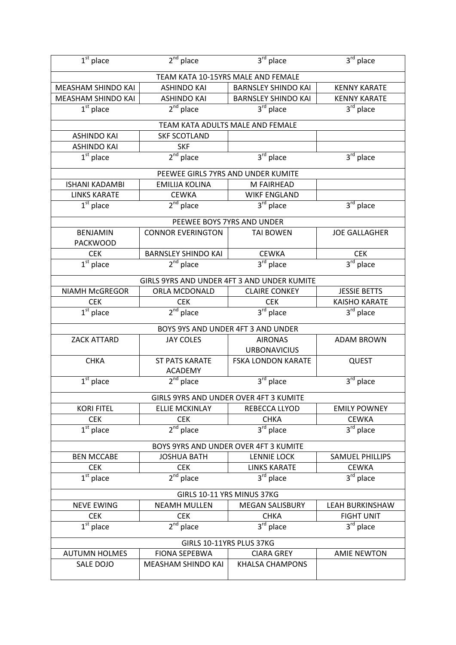| $1st$ place                             | $2^{nd}$ place                              | $3rd$ place                           | 3rd place                             |  |
|-----------------------------------------|---------------------------------------------|---------------------------------------|---------------------------------------|--|
|                                         | TEAM KATA 10-15YRS MALE AND FEMALE          |                                       |                                       |  |
| MEASHAM SHINDO KAI                      | <b>ASHINDO KAI</b>                          | <b>BARNSLEY SHINDO KAI</b>            | <b>KENNY KARATE</b>                   |  |
| MEASHAM SHINDO KAI                      | <b>ASHINDO KAI</b>                          | <b>BARNSLEY SHINDO KAI</b>            | <b>KENNY KARATE</b>                   |  |
| $1st$ place                             | $2nd$ place                                 | 3rd place                             | $3rd$ place                           |  |
|                                         | TEAM KATA ADULTS MALE AND FEMALE            |                                       |                                       |  |
| <b>ASHINDO KAI</b>                      | <b>SKF SCOTLAND</b>                         |                                       |                                       |  |
| <b>ASHINDO KAI</b>                      | <b>SKF</b>                                  |                                       |                                       |  |
| $\overline{1^{st}}$ place               | $2nd$ place                                 | 3rd place                             | $3rd$ place                           |  |
|                                         |                                             |                                       |                                       |  |
|                                         | PEEWEE GIRLS 7YRS AND UNDER KUMITE          |                                       |                                       |  |
| <b>ISHANI KADAMBI</b>                   | <b>EMILIJA KOLINA</b>                       | M FAIRHEAD                            |                                       |  |
| <b>LINKS KARATE</b>                     | <b>CEWKA</b>                                | <b>WIKF ENGLAND</b>                   |                                       |  |
| $1st$ place                             | $2nd$ place                                 | 3 <sup>rd</sup> place                 | $3rd$ place                           |  |
|                                         | PEEWEE BOYS 7YRS AND UNDER                  |                                       |                                       |  |
| <b>BENJAMIN</b>                         | <b>CONNOR EVERINGTON</b>                    | <b>TAI BOWEN</b>                      | <b>JOE GALLAGHER</b>                  |  |
| <b>PACKWOOD</b>                         |                                             |                                       |                                       |  |
| <b>CEK</b>                              | <b>BARNSLEY SHINDO KAI</b>                  | <b>CEWKA</b>                          | <b>CEK</b>                            |  |
| $1st$ place                             | $2nd$ place                                 | 3rd place                             | $3rd$ place                           |  |
|                                         | GIRLS 9YRS AND UNDER 4FT 3 AND UNDER KUMITE |                                       |                                       |  |
| NIAMH McGREGOR                          | ORLA MCDONALD                               | <b>CLAIRE CONKEY</b>                  | <b>JESSIE BETTS</b>                   |  |
| <b>CEK</b>                              | <b>CEK</b>                                  | <b>CEK</b>                            | <b>KAISHO KARATE</b>                  |  |
| $\overline{1^{st}}$ place               | $2nd$ place                                 | $3rd$ place                           | 3 <sup>rd</sup> place                 |  |
|                                         |                                             | BOYS 9YS AND UNDER 4FT 3 AND UNDER    |                                       |  |
| <b>ZACK ATTARD</b>                      | <b>JAY COLES</b>                            | <b>AIRONAS</b>                        | <b>ADAM BROWN</b>                     |  |
|                                         |                                             | <b>URBONAVICIUS</b>                   |                                       |  |
| <b>CHKA</b>                             | <b>ST PATS KARATE</b>                       | <b>FSKA LONDON KARATE</b>             | <b>QUEST</b>                          |  |
|                                         | <b>ACADEMY</b>                              |                                       |                                       |  |
| $1st$ place                             | $2nd$ place                                 | $3rd$ place                           | 3rd place                             |  |
| GIRLS 9YRS AND UNDER OVER 4FT 3 KUMITE  |                                             |                                       |                                       |  |
| <b>KORI FITEL</b>                       | <b>ELLIE MCKINLAY</b>                       | REBECCA LLYOD                         | <b>EMILY POWNEY</b>                   |  |
| <b>CEK</b>                              | <b>CEK</b>                                  | <b>CHKA</b>                           | <b>CEWKA</b>                          |  |
| $\overline{1^{st}}$ place               | $2nd$ place                                 | $3^{\text{rd}}$ place                 | $3^{\text{rd}}$ place                 |  |
|                                         |                                             |                                       |                                       |  |
|                                         | BOYS 9YRS AND UNDER OVER 4FT 3 KUMITE       |                                       |                                       |  |
| <b>BEN MCCABE</b>                       | <b>JOSHUA BATH</b>                          | <b>LENNIE LOCK</b>                    | SAMUEL PHILLIPS                       |  |
| <b>CEK</b><br>$\overline{1^{st}}$ place | <b>CEK</b><br>$2nd$ place                   | <b>LINKS KARATE</b><br>$3^{rd}$ place | <b>CEWKA</b><br>3 <sup>rd</sup> place |  |
|                                         |                                             |                                       |                                       |  |
| GIRLS 10-11 YRS MINUS 37KG              |                                             |                                       |                                       |  |
| <b>NEVE EWING</b>                       | <b>NEAMH MULLEN</b>                         | <b>MEGAN SALISBURY</b>                | <b>LEAH BURKINSHAW</b>                |  |
| <b>CEK</b>                              | <b>CEK</b>                                  | <b>CHKA</b>                           | <b>FIGHT UNIT</b>                     |  |
| $1st$ place                             | $2nd$ place                                 | 3rd place                             | $3rd$ place                           |  |
| GIRLS 10-11YRS PLUS 37KG                |                                             |                                       |                                       |  |
| <b>AUTUMN HOLMES</b>                    | <b>FIONA SEPEBWA</b>                        | <b>CIARA GREY</b>                     | <b>AMIE NEWTON</b>                    |  |
| SALE DOJO                               | MEASHAM SHINDO KAI                          | <b>KHALSA CHAMPONS</b>                |                                       |  |
|                                         |                                             |                                       |                                       |  |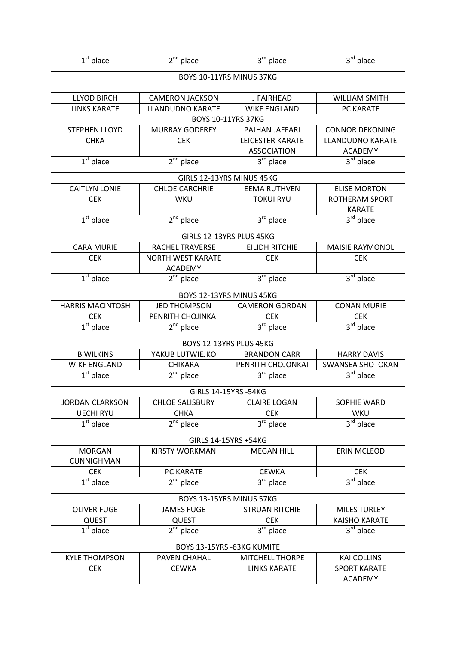| $1st$ place                        | $2nd$ place                                | $3rd$ place              | $3rd$ place               |  |
|------------------------------------|--------------------------------------------|--------------------------|---------------------------|--|
| BOYS 10-11YRS MINUS 37KG           |                                            |                          |                           |  |
| <b>LLYOD BIRCH</b>                 | <b>CAMERON JACKSON</b>                     | J FAIRHEAD               | <b>WILLIAM SMITH</b>      |  |
| <b>LINKS KARATE</b>                | <b>LLANDUDNO KARATE</b>                    | <b>WIKF ENGLAND</b>      | PC KARATE                 |  |
|                                    |                                            | BOYS 10-11YRS 37KG       |                           |  |
| <b>STEPHEN LLOYD</b>               | <b>MURRAY GODFREY</b>                      | PAJHAN JAFFARI           | <b>CONNOR DEKONING</b>    |  |
| <b>CHKA</b>                        | <b>CEK</b>                                 | <b>LEICESTER KARATE</b>  | <b>LLANDUDNO KARATE</b>   |  |
|                                    |                                            | <b>ASSOCIATION</b>       | <b>ACADEMY</b>            |  |
| $1st$ place                        | $2nd$ place                                | $3rd$ place              | 3rd place                 |  |
|                                    | GIRLS 12-13YRS MINUS 45KG                  |                          |                           |  |
| <b>CAITLYN LONIE</b>               | <b>CHLOE CARCHRIE</b>                      | <b>EEMA RUTHVEN</b>      | <b>ELISE MORTON</b>       |  |
| <b>CEK</b>                         | <b>WKU</b>                                 | <b>TOKUI RYU</b>         | <b>ROTHERAM SPORT</b>     |  |
|                                    |                                            |                          | <b>KARATE</b>             |  |
| $1st$ place                        | $2nd$ place                                | 3rd place                | 3rd place                 |  |
|                                    | GIRLS 12-13YRS PLUS 45KG                   |                          |                           |  |
| <b>CARA MURIE</b>                  | <b>RACHEL TRAVERSE</b>                     | <b>EILIDH RITCHIE</b>    | <b>MAISIE RAYMONOL</b>    |  |
| <b>CEK</b>                         | <b>NORTH WEST KARATE</b><br><b>ACADEMY</b> | <b>CEK</b>               | <b>CEK</b>                |  |
| $1st$ place                        | $2nd$ place                                | 3rd place                | $3rd$ place               |  |
|                                    |                                            | BOYS 12-13YRS MINUS 45KG |                           |  |
| <b>HARRIS MACINTOSH</b>            | <b>JED THOMPSON</b>                        | <b>CAMERON GORDAN</b>    | <b>CONAN MURIE</b>        |  |
| <b>CEK</b>                         | PENRITH CHOJINKAI                          | <b>CEK</b>               | <b>CEK</b>                |  |
| $1st$ place                        | $2nd$ place                                | 3rd place                | $3rd$ place               |  |
|                                    |                                            | BOYS 12-13YRS PLUS 45KG  |                           |  |
| <b>B WILKINS</b>                   | YAKUB LUTWIEJKO                            | <b>BRANDON CARR</b>      | <b>HARRY DAVIS</b>        |  |
| <b>WIKF ENGLAND</b>                | <b>CHIKARA</b>                             | PENRITH CHOJONKAI        | <b>SWANSEA SHOTOKAN</b>   |  |
| $1st$ place                        | $2nd$ place                                | $3rd$ place              | 3rd place                 |  |
| GIRLS 14-15YRS -54KG               |                                            |                          |                           |  |
| <b>JORDAN CLARKSON</b>             | <b>CHLOE SALISBURY</b>                     | <b>CLAIRE LOGAN</b>      | SOPHIE WARD               |  |
| <b>UECHI RYU</b>                   | <b>CHKA</b>                                | <b>CEK</b>               | WKU                       |  |
| $1st$ place                        | $2nd$ place                                | $3^{\text{rd}}$ place    | $3^{\overline{rd}}$ place |  |
| GIRLS 14-15YRS +54KG               |                                            |                          |                           |  |
| <b>MORGAN</b><br><b>CUNNIGHMAN</b> | <b>KIRSTY WORKMAN</b>                      | <b>MEGAN HILL</b>        | <b>ERIN MCLEOD</b>        |  |
| <b>CEK</b>                         | PC KARATE                                  | <b>CEWKA</b>             | <b>CEK</b>                |  |
| $\overline{1^{st}}$ place          | $2nd$ place                                | $3rd$ place              | $3rd$ place               |  |
| BOYS 13-15YRS MINUS 57KG           |                                            |                          |                           |  |
| <b>OLIVER FUGE</b>                 | <b>JAMES FUGE</b>                          | <b>STRUAN RITCHIE</b>    | <b>MILES TURLEY</b>       |  |
| <b>QUEST</b>                       | <b>QUEST</b>                               | <b>CEK</b>               | <b>KAISHO KARATE</b>      |  |
| $\overline{1^{st}}$ place          | $2^{nd}$ place                             | $3rd$ place              | $3rd$ place               |  |
| BOYS 13-15YRS -63KG KUMITE         |                                            |                          |                           |  |
| <b>KYLE THOMPSON</b>               | <b>PAVEN CHAHAL</b>                        | <b>MITCHELL THORPE</b>   | <b>KAI COLLINS</b>        |  |
| <b>CEK</b>                         | <b>CEWKA</b>                               | <b>LINKS KARATE</b>      | <b>SPORT KARATE</b>       |  |
|                                    |                                            |                          | <b>ACADEMY</b>            |  |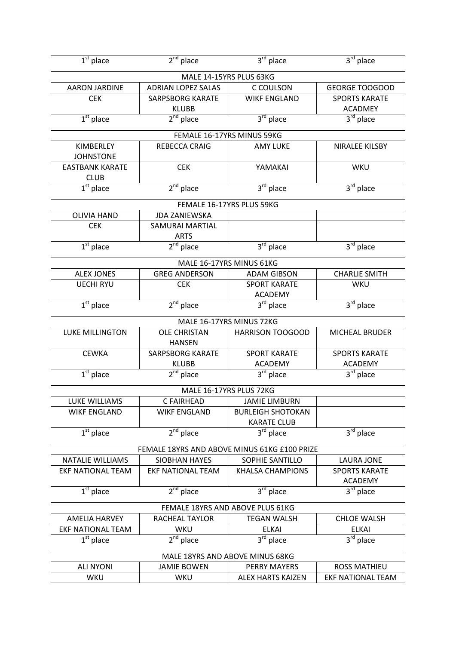| $1st$ place                                  | $2nd$ place               | $3rd$ place                | $3rd$ place                             |  |
|----------------------------------------------|---------------------------|----------------------------|-----------------------------------------|--|
|                                              |                           | MALE 14-15YRS PLUS 63KG    |                                         |  |
| <b>AARON JARDINE</b>                         | <b>ADRIAN LOPEZ SALAS</b> | C COULSON                  | <b>GEORGE TOOGOOD</b>                   |  |
| <b>CEK</b>                                   | <b>SARPSBORG KARATE</b>   | <b>WIKF ENGLAND</b>        | <b>SPORTS KARATE</b>                    |  |
|                                              | <b>KLUBB</b>              |                            | <b>ACADMEY</b>                          |  |
| $1st$ place                                  | $2nd$ place               | $3rd$ place                | 3rd place                               |  |
|                                              |                           | FEMALE 16-17YRS MINUS 59KG |                                         |  |
| KIMBERLEY                                    | REBECCA CRAIG             | <b>AMY LUKE</b>            | NIRALEE KILSBY                          |  |
| <b>JOHNSTONE</b>                             |                           |                            |                                         |  |
| <b>EASTBANK KARATE</b>                       | <b>CEK</b>                | YAMAKAI                    | WKU                                     |  |
| <b>CLUB</b>                                  |                           |                            |                                         |  |
| $\overline{1^{st}}$ place                    | $2nd$ place               | $3rd$ place                | $3rd$ place                             |  |
|                                              |                           | FEMALE 16-17YRS PLUS 59KG  |                                         |  |
| <b>OLIVIA HAND</b>                           | <b>JDA ZANIEWSKA</b>      |                            |                                         |  |
| <b>CEK</b>                                   | <b>SAMURAI MARTIAL</b>    |                            |                                         |  |
|                                              | <b>ARTS</b>               |                            |                                         |  |
| $\overline{1^{st}}$ place                    | $2nd$ place               | $3rd$ place                | $\overline{3}^{\text{rd}}$ place        |  |
| MALE 16-17YRS MINUS 61KG                     |                           |                            |                                         |  |
| <b>ALEX JONES</b>                            | <b>GREG ANDERSON</b>      | <b>ADAM GIBSON</b>         | <b>CHARLIE SMITH</b>                    |  |
| <b>UECHI RYU</b>                             | <b>CEK</b>                | <b>SPORT KARATE</b>        | WKU                                     |  |
|                                              |                           | <b>ACADEMY</b>             |                                         |  |
| $1st$ place                                  | $2nd$ place               | $3rd$ place                | $3rd$ place                             |  |
|                                              |                           | MALE 16-17YRS MINUS 72KG   |                                         |  |
| <b>LUKE MILLINGTON</b>                       | <b>OLE CHRISTAN</b>       | <b>HARRISON TOOGOOD</b>    | <b>MICHEAL BRUDER</b>                   |  |
|                                              | <b>HANSEN</b>             |                            |                                         |  |
| <b>CEWKA</b>                                 | <b>SARPSBORG KARATE</b>   | <b>SPORT KARATE</b>        | <b>SPORTS KARATE</b>                    |  |
|                                              | <b>KLUBB</b>              | <b>ACADEMY</b>             | <b>ACADEMY</b>                          |  |
| $1st$ place                                  | $2nd$ place               | 3rd place                  | $3rd$ place                             |  |
| MALE 16-17YRS PLUS 72KG                      |                           |                            |                                         |  |
| <b>LUKE WILLIAMS</b>                         | C FAIRHEAD                | <b>JAMIE LIMBURN</b>       |                                         |  |
| <b>WIKF ENGLAND</b>                          | <b>WIKF ENGLAND</b>       | <b>BURLEIGH SHOTOKAN</b>   |                                         |  |
|                                              |                           | <b>KARATE CLUB</b>         |                                         |  |
| $1st$ place                                  | $2nd$ place               | 3rd place                  | $3rd$ place                             |  |
| FEMALE 18YRS AND ABOVE MINUS 61KG £100 PRIZE |                           |                            |                                         |  |
| <b>NATALIE WILLIAMS</b>                      | <b>SIOBHAN HAYES</b>      | SOPHIE SANTILLO            | LAURA JONE                              |  |
| <b>EKF NATIONAL TEAM</b>                     | <b>EKF NATIONAL TEAM</b>  | <b>KHALSA CHAMPIONS</b>    | <b>SPORTS KARATE</b>                    |  |
| $\overline{1}^{\rm st}$ place                | $2nd$ place               | $3rd$ place                | <b>ACADEMY</b><br>3 <sup>rd</sup> place |  |
|                                              |                           |                            |                                         |  |
| FEMALE 18YRS AND ABOVE PLUS 61KG             |                           |                            |                                         |  |
| <b>AMELIA HARVEY</b>                         | RACHEAL TAYLOR            | <b>TEGAN WALSH</b>         | <b>CHLOE WALSH</b>                      |  |
| <b>EKF NATIONAL TEAM</b>                     | WKU                       | <b>ELKAI</b>               | <b>ELKAI</b>                            |  |
| $1st$ place                                  | $2nd$ place               | $3rd$ place                | $3rd$ place                             |  |
| MALE 18YRS AND ABOVE MINUS 68KG              |                           |                            |                                         |  |
| <b>ALI NYONI</b>                             | <b>JAMIE BOWEN</b>        | <b>PERRY MAYERS</b>        | <b>ROSS MATHIEU</b>                     |  |
| WKU                                          | WKU                       | <b>ALEX HARTS KAIZEN</b>   | <b>EKF NATIONAL TEAM</b>                |  |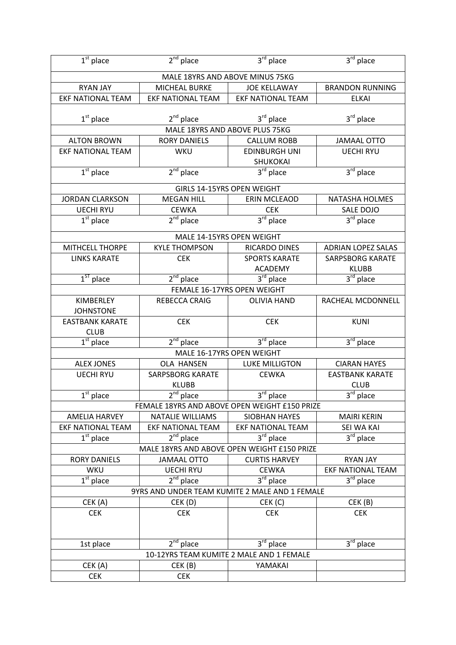| $1st$ place                                                                               | $2nd$ place              | 3rd place                                 | $3rd$ place               |  |
|-------------------------------------------------------------------------------------------|--------------------------|-------------------------------------------|---------------------------|--|
|                                                                                           |                          | MALE 18YRS AND ABOVE MINUS 75KG           |                           |  |
| <b>RYAN JAY</b>                                                                           | MICHEAL BURKE            | <b>JOE KELLAWAY</b>                       | <b>BRANDON RUNNING</b>    |  |
| <b>EKF NATIONAL TEAM</b>                                                                  | <b>EKF NATIONAL TEAM</b> | <b>EKF NATIONAL TEAM</b>                  | <b>ELKAI</b>              |  |
|                                                                                           |                          |                                           |                           |  |
| $1st$ place                                                                               | $2nd$ place              | 3rd place                                 | $3rd$ place               |  |
|                                                                                           |                          | MALE 18YRS AND ABOVE PLUS 75KG            |                           |  |
| <b>ALTON BROWN</b>                                                                        | <b>RORY DANIELS</b>      | <b>CALLUM ROBB</b>                        | <b>JAMAAL OTTO</b>        |  |
| <b>EKF NATIONAL TEAM</b>                                                                  | WKU                      | <b>EDINBURGH UNI</b>                      | <b>UECHI RYU</b>          |  |
|                                                                                           |                          | SHUKOKAI                                  |                           |  |
| $1st$ place                                                                               | $2nd$ place              | $3rd$ place                               | $3rd$ place               |  |
|                                                                                           |                          | GIRLS 14-15YRS OPEN WEIGHT                |                           |  |
| <b>JORDAN CLARKSON</b>                                                                    | <b>MEGAN HILL</b>        | ERIN MCLEAOD                              | NATASHA HOLMES            |  |
| <b>UECHI RYU</b>                                                                          | <b>CEWKA</b>             | <b>CEK</b>                                | SALE DOJO                 |  |
| $1st$ place                                                                               | $2nd$ place              | $3rd$ place                               | $3rd$ place               |  |
|                                                                                           |                          | MALE 14-15YRS OPEN WEIGHT                 |                           |  |
| <b>MITHCELL THORPE</b>                                                                    | <b>KYLE THOMPSON</b>     | RICARDO DINES                             | <b>ADRIAN LOPEZ SALAS</b> |  |
| <b>LINKS KARATE</b>                                                                       | <b>CEK</b>               | <b>SPORTS KARATE</b>                      | <b>SARPSBORG KARATE</b>   |  |
|                                                                                           |                          | <b>ACADEMY</b>                            | <b>KLUBB</b>              |  |
| $1ST$ place                                                                               | $2nd$ place              | $3rd$ place                               | $3rd$ place               |  |
|                                                                                           |                          | FEMALE 16-17YRS OPEN WEIGHT               |                           |  |
| KIMBERLEY                                                                                 | REBECCA CRAIG            | <b>OLIVIA HAND</b>                        | RACHEAL MCDONNELL         |  |
| <b>JOHNSTONE</b>                                                                          |                          |                                           |                           |  |
| <b>EASTBANK KARATE</b>                                                                    | <b>CEK</b>               | <b>CEK</b>                                | <b>KUNI</b>               |  |
| <b>CLUB</b>                                                                               |                          |                                           |                           |  |
| $1st$ place                                                                               | $2nd$ place              | $3rd$ place                               | 3rd place                 |  |
|                                                                                           |                          | MALE 16-17YRS OPEN WEIGHT                 |                           |  |
| <b>ALEX JONES</b>                                                                         | OLA HANSEN               | <b>LUKE MILLIGTON</b>                     | <b>CIARAN HAYES</b>       |  |
| <b>UECHI RYU</b>                                                                          | <b>SARPSBORG KARATE</b>  | <b>CEWKA</b>                              | <b>EASTBANK KARATE</b>    |  |
|                                                                                           | <b>KLUBB</b>             |                                           | <b>CLUB</b>               |  |
| $\overline{\mathbf{1}^{\text{st}}}$ place                                                 | 2 <sup>nd</sup> place    | $3rd$ place                               | $3^{\text{rd}}$ place     |  |
| FEMALE 18YRS AND ABOVE OPEN WEIGHT £150 PRIZE                                             |                          |                                           |                           |  |
| <b>AMELIA HARVEY</b>                                                                      | NATALIE WILLIAMS         | SIOBHAN HAYES<br><b>EKF NATIONAL TEAM</b> | <b>MAIRI KERIN</b>        |  |
| <b>EKF NATIONAL TEAM</b>                                                                  | <b>EKF NATIONAL TEAM</b> | $3rd$ place                               | SEI WA KAI                |  |
| 3rd place<br>$1st$ place<br>$2^{nd}$ place<br>MALE 18YRS AND ABOVE OPEN WEIGHT £150 PRIZE |                          |                                           |                           |  |
| <b>RORY DANIELS</b>                                                                       | <b>JAMAAL OTTO</b>       | <b>CURTIS HARVEY</b>                      | <b>RYAN JAY</b>           |  |
| WKU                                                                                       | <b>UECHI RYU</b>         | <b>CEWKA</b>                              | <b>EKF NATIONAL TEAM</b>  |  |
| $1st$ place                                                                               | $2^{nd}$ place           | 3rd place                                 | 3 <sup>rd</sup> place     |  |
| 9YRS AND UNDER TEAM KUMITE 2 MALE AND 1 FEMALE                                            |                          |                                           |                           |  |
| CEK (A)                                                                                   | CEK (D)                  | CEK (C)                                   | CEK (B)                   |  |
| <b>CEK</b>                                                                                | <b>CEK</b>               | <b>CEK</b>                                | <b>CEK</b>                |  |
|                                                                                           |                          |                                           |                           |  |
|                                                                                           |                          |                                           |                           |  |
| 1st place                                                                                 | $2nd$ place              | $3rd$ place                               | $3rd$ place               |  |
|                                                                                           |                          | 10-12YRS TEAM KUMITE 2 MALE AND 1 FEMALE  |                           |  |
| CEK (A)                                                                                   | CEK (B)                  | YAMAKAI                                   |                           |  |
| <b>CEK</b>                                                                                | <b>CEK</b>               |                                           |                           |  |